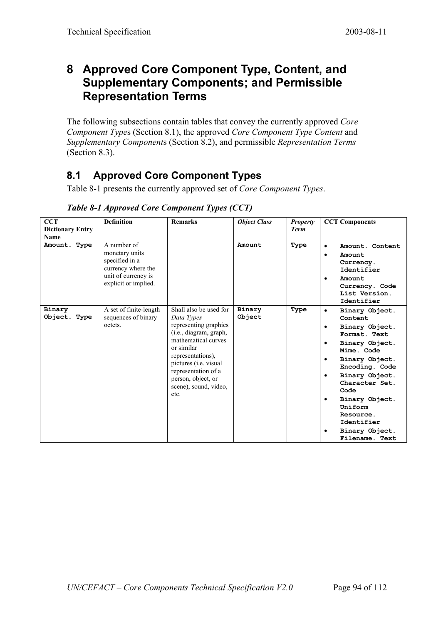## **8 Approved Core Component Type, Content, and Supplementary Components; and Permissible Representation Terms**

The following subsections contain tables that convey the currently approved *Core Component Type*s (Section 8.1), the approved *Core Component Type Content* and *Supplementary Component*s (Section 8.2), and permissible *Representation Terms* (Section 8.3).

## **8.1 Approved Core Component Types**

Table 8-1 presents the currently approved set of *Core Component Types*.

| <b>CCT</b><br><b>Dictionary Entry</b><br>Name | <b>Definition</b>                                                                                                    | <b>Remarks</b>                                                                                                                                                                                                                                                   | <b>Object Class</b> | <b>Property</b><br><b>Term</b> | <b>CCT Components</b>                                                                                                                                                                                                                                                                                                              |
|-----------------------------------------------|----------------------------------------------------------------------------------------------------------------------|------------------------------------------------------------------------------------------------------------------------------------------------------------------------------------------------------------------------------------------------------------------|---------------------|--------------------------------|------------------------------------------------------------------------------------------------------------------------------------------------------------------------------------------------------------------------------------------------------------------------------------------------------------------------------------|
| Amount. Type                                  | A number of<br>monetary units<br>specified in a<br>currency where the<br>unit of currency is<br>explicit or implied. |                                                                                                                                                                                                                                                                  | Amount              | Type                           | Amount, Content<br>$\bullet$<br>Amount<br>٠<br>Currency.<br>Identifier<br>Amount<br>٠<br>Currency. Code<br>List Version.<br>Identifier                                                                                                                                                                                             |
| Binary<br>Object. Type                        | A set of finite-length<br>sequences of binary<br>octets.                                                             | Shall also be used for<br>Data Types<br>representing graphics<br>(i.e., diagram, graph,<br>mathematical curves<br>or similar<br>representations),<br>pictures ( <i>i.e.</i> visual<br>representation of a<br>person, object, or<br>scene), sound, video,<br>etc. | Binary<br>Object    | Type                           | Binary Object.<br>$\bullet$<br>Content<br>Binary Object.<br>$\bullet$<br>Format. Text<br>Binary Object.<br>$\bullet$<br>Mime. Code<br>Binary Object.<br>٠<br>Encoding. Code<br>Binary Object.<br>٠<br>Character Set.<br>Code<br>Binary Object.<br>٠<br>Uniform<br>Resource.<br>Identifier<br>Binary Object.<br>٠<br>Filename. Text |

*Table 8-1 Approved Core Component Types (CCT)*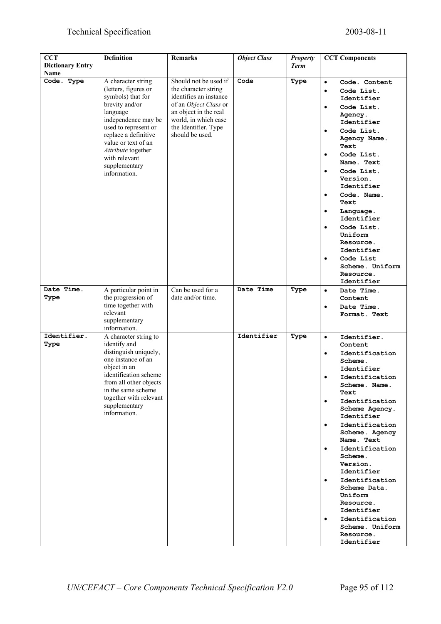### Technical Specification 2003-08-11

| <b>CCT</b>                      | <b>Definition</b>                                                                                                                                                                                                                                                   | <b>Remarks</b>                                                                                                                                                                               | <b>Object Class</b> | <b>Property</b> | <b>CCT Components</b>                                                                                                                                                                                                                                                                                                                                                                                                                                                                                                   |
|---------------------------------|---------------------------------------------------------------------------------------------------------------------------------------------------------------------------------------------------------------------------------------------------------------------|----------------------------------------------------------------------------------------------------------------------------------------------------------------------------------------------|---------------------|-----------------|-------------------------------------------------------------------------------------------------------------------------------------------------------------------------------------------------------------------------------------------------------------------------------------------------------------------------------------------------------------------------------------------------------------------------------------------------------------------------------------------------------------------------|
| <b>Dictionary Entry</b><br>Name |                                                                                                                                                                                                                                                                     |                                                                                                                                                                                              |                     | <b>Term</b>     |                                                                                                                                                                                                                                                                                                                                                                                                                                                                                                                         |
| Code. Type                      | A character string<br>(letters, figures or<br>symbols) that for<br>brevity and/or<br>language<br>independence may be<br>used to represent or<br>replace a definitive<br>value or text of an<br>Attribute together<br>with relevant<br>supplementary<br>information. | Should not be used if<br>the character string<br>identifies an instance<br>of an Object Class or<br>an object in the real<br>world, in which case<br>the Identifier. Type<br>should be used. | Code                | Type            | Code. Content<br>$\bullet$<br>Code List.<br>$\bullet$<br>Identifier<br>Code List.<br>$\bullet$<br>Agency.<br>Identifier<br>Code List.<br>$\bullet$<br>Agency Name.<br>Text<br>Code List.<br>$\bullet$<br>Name. Text<br>Code List.<br>$\bullet$<br>Version.<br>Identifier<br>Code. Name.<br>$\bullet$<br>Text<br>Language.<br>$\bullet$<br>Identifier<br>Code List.<br>$\bullet$<br>Uniform<br>Resource.<br>Identifier<br>Code List<br>$\bullet$<br>Scheme. Uniform<br>Resource.<br>Identifier                           |
| Date Time.<br>Type              | A particular point in<br>the progression of<br>time together with<br>relevant<br>supplementary<br>information.                                                                                                                                                      | Can be used for a<br>date and/or time.                                                                                                                                                       | Date Time           | Type            | Date Time.<br>$\bullet$<br>Content<br>Date Time.<br>$\bullet$<br>Format. Text                                                                                                                                                                                                                                                                                                                                                                                                                                           |
| Identifier.<br>Type             | A character string to<br>identify and<br>distinguish uniquely,<br>one instance of an<br>object in an<br>identification scheme<br>from all other objects<br>in the same scheme.<br>together with relevant<br>supplementary<br>information.                           |                                                                                                                                                                                              | Identifier          | Type            | Identifier.<br>$\bullet$<br>Content<br>Identification<br>$\bullet$<br>Scheme.<br>Identifier<br>Identification<br>$\bullet$<br>Scheme. Name.<br>Text<br>Identification<br>$\bullet$<br>Scheme Agency.<br>Identifier<br>Identification<br>$\bullet$<br>Scheme. Agency<br>Name. Text<br>Identification<br>$\bullet$<br>Scheme.<br>Version.<br>Identifier<br>Identification<br>$\bullet$<br>Scheme Data.<br>Uniform<br>Resource.<br>Identifier<br>Identification<br>$\bullet$<br>Scheme. Uniform<br>Resource.<br>Identifier |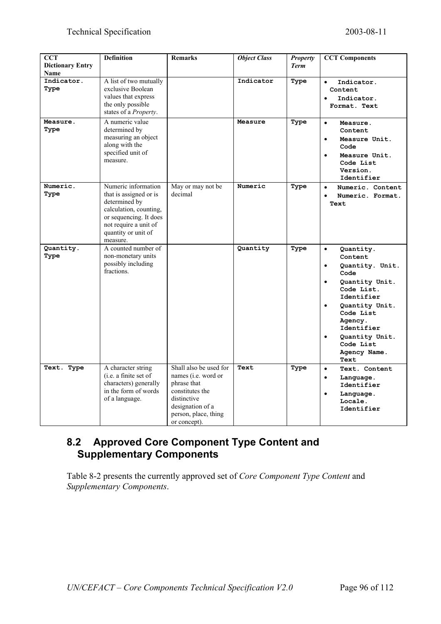| <b>CCT</b><br><b>Dictionary Entry</b> | <b>Definition</b>                                                                                                                                                              | <b>Remarks</b>                                                                                                                                                     | <b>Object Class</b> | <b>Property</b><br><b>Term</b> | <b>CCT Components</b>                                                                                                                                                                                                                  |
|---------------------------------------|--------------------------------------------------------------------------------------------------------------------------------------------------------------------------------|--------------------------------------------------------------------------------------------------------------------------------------------------------------------|---------------------|--------------------------------|----------------------------------------------------------------------------------------------------------------------------------------------------------------------------------------------------------------------------------------|
| <b>Name</b>                           |                                                                                                                                                                                |                                                                                                                                                                    |                     |                                |                                                                                                                                                                                                                                        |
| Indicator.<br>Type                    | A list of two mutually<br>exclusive Boolean<br>values that express<br>the only possible<br>states of a Property.                                                               |                                                                                                                                                                    | Indicator           | Type                           | Indicator.<br>$\bullet$<br>Content<br>Indicator.<br>Format. Text                                                                                                                                                                       |
| Measure.<br>Type                      | A numeric value<br>determined by<br>measuring an object<br>along with the<br>specified unit of<br>measure.                                                                     |                                                                                                                                                                    | Measure             | Type                           | Measure.<br>$\bullet$<br>Content<br>Measure Unit.<br>$\bullet$<br>Code<br>Measure Unit.<br>Code List<br>Version.<br>Identifier                                                                                                         |
| Numeric.<br>Type                      | Numeric information<br>that is assigned or is<br>determined by<br>calculation, counting,<br>or sequencing. It does<br>not require a unit of<br>quantity or unit of<br>measure. | May or may not be<br>decimal                                                                                                                                       | Numeric             | Type                           | Numeric. Content<br>$\bullet$<br>Numeric. Format.<br>Text                                                                                                                                                                              |
| Quantity.<br>Type                     | A counted number of<br>non-monetary units<br>possibly including<br>fractions.                                                                                                  |                                                                                                                                                                    | Quantity            | Type                           | $\bullet$<br>Quantity.<br>Content<br>Quantity. Unit.<br>$\bullet$<br>Code<br>Quantity Unit.<br>Code List.<br>Identifier<br>Quantity Unit.<br>Code List<br>Agency.<br>Identifier<br>Quantity Unit.<br>Code List<br>Agency Name.<br>Text |
| Text. Type                            | A character string<br>(i.e. a finite set of<br>characters) generally<br>in the form of words<br>of a language.                                                                 | Shall also be used for<br>names ( <i>i.e.</i> word or<br>phrase that<br>constitutes the<br>distinctive<br>designation of a<br>person, place, thing<br>or concept). | Text                | Type                           | Text. Content<br>$\bullet$<br>Language.<br>$\bullet$<br>Identifier<br>Language.<br>$\bullet$<br>Locale.<br>Identifier                                                                                                                  |

#### **8.2 Approved Core Component Type Content and Supplementary Components**

Table 8-2 presents the currently approved set of *Core Component Type Content* and *Supplementary Components*.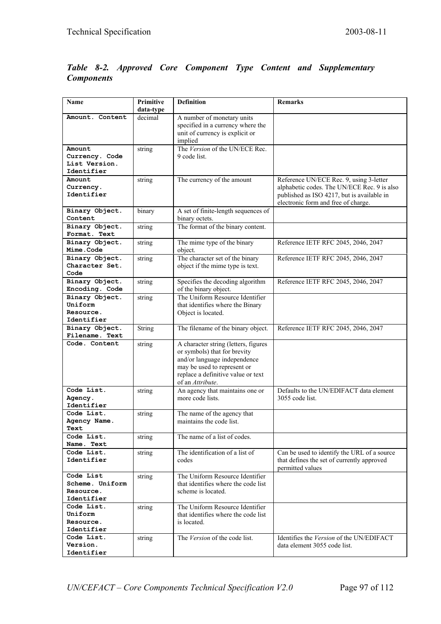#### *Table 8-2. Approved Core Component Type Content and Supplementary Components*

| Name                             | Primitive<br>data-type | <b>Definition</b>                                         | Remarks                                                                           |
|----------------------------------|------------------------|-----------------------------------------------------------|-----------------------------------------------------------------------------------|
| Amount. Content                  | decimal                | A number of monetary units                                |                                                                                   |
|                                  |                        | specified in a currency where the                         |                                                                                   |
|                                  |                        | unit of currency is explicit or                           |                                                                                   |
| Amount                           |                        | implied<br>The Version of the UN/ECE Rec.                 |                                                                                   |
| Currency. Code                   | string                 | 9 code list.                                              |                                                                                   |
| List Version.                    |                        |                                                           |                                                                                   |
| Identifier                       |                        |                                                           |                                                                                   |
| Amount                           | string                 | The currency of the amount                                | Reference UN/ECE Rec. 9, using 3-letter                                           |
| Currency.<br>Identifier          |                        |                                                           | alphabetic codes. The UN/ECE Rec. 9 is also                                       |
|                                  |                        |                                                           | published as ISO 4217, but is available in<br>electronic form and free of charge. |
| Binary Object.                   | binary                 | A set of finite-length sequences of                       |                                                                                   |
| Content                          |                        | binary octets.                                            |                                                                                   |
| Binary Object.                   | string                 | The format of the binary content.                         |                                                                                   |
| Format. Text                     |                        |                                                           |                                                                                   |
| Binary Object.<br>Mime.Code      | string                 | The mime type of the binary<br>object.                    | Reference IETF RFC 2045, 2046, 2047                                               |
| Binary Object.                   | string                 | The character set of the binary                           | Reference IETF RFC 2045, 2046, 2047                                               |
| Character Set.                   |                        | object if the mime type is text.                          |                                                                                   |
| Code<br>Binary Object.           | string                 | Specifies the decoding algorithm                          | Reference IETF RFC 2045, 2046, 2047                                               |
| Encoding. Code                   |                        | of the binary object.                                     |                                                                                   |
| Binary Object.<br>Uniform        | string                 | The Uniform Resource Identifier                           |                                                                                   |
| Resource.                        |                        | that identifies where the Binary<br>Object is located.    |                                                                                   |
| Identifier                       |                        |                                                           |                                                                                   |
| Binary Object.<br>Filename. Text | <b>String</b>          | The filename of the binary object.                        | Reference IETF RFC 2045, 2046, 2047                                               |
| Code. Content                    | string                 | A character string (letters, figures                      |                                                                                   |
|                                  |                        | or symbols) that for brevity                              |                                                                                   |
|                                  |                        | and/or language independence                              |                                                                                   |
|                                  |                        | may be used to represent or                               |                                                                                   |
|                                  |                        | replace a definitive value or text<br>of an Attribute.    |                                                                                   |
| Code List.                       | string                 | An agency that maintains one or                           | Defaults to the UN/EDIFACT data element                                           |
| Agency.                          |                        | more code lists.                                          | 3055 code list.                                                                   |
| Identifier                       |                        |                                                           |                                                                                   |
| Code List.                       | string                 | The name of the agency that                               |                                                                                   |
| Agency Name.<br>Text             |                        | maintains the code list.                                  |                                                                                   |
| Code List.                       | string                 | The name of a list of codes.                              |                                                                                   |
| Name. Text                       |                        |                                                           |                                                                                   |
| Code List.                       | string                 | The identification of a list of                           | Can be used to identify the URL of a source                                       |
| Identifier                       |                        | codes                                                     | that defines the set of currently approved<br>permitted values                    |
| Code List                        | string                 | The Uniform Resource Identifier                           |                                                                                   |
| Scheme. Uniform<br>Resource.     |                        | that identifies where the code list<br>scheme is located. |                                                                                   |
| Identifier                       |                        |                                                           |                                                                                   |
| Code List.                       | string                 | The Uniform Resource Identifier                           |                                                                                   |
| Uniform                          |                        | that identifies where the code list                       |                                                                                   |
| Resource.                        |                        | is located.                                               |                                                                                   |
| Identifier<br>Code List.         |                        | The Version of the code list.                             | Identifies the Version of the UN/EDIFACT                                          |
| Version.                         | string                 |                                                           | data element 3055 code list.                                                      |
| Identifier                       |                        |                                                           |                                                                                   |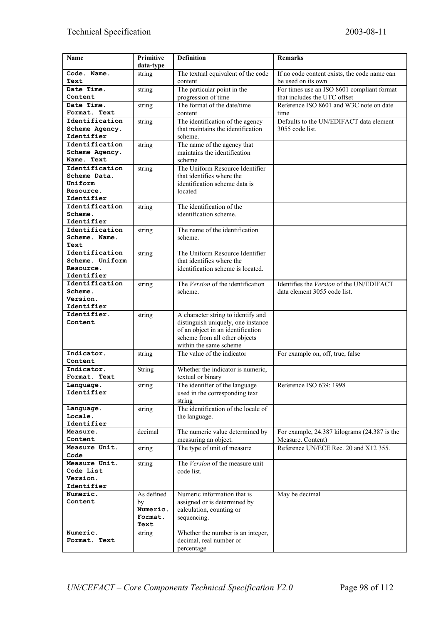| Name                         | Primitive       | <b>Definition</b>                                           | <b>Remarks</b>                               |
|------------------------------|-----------------|-------------------------------------------------------------|----------------------------------------------|
|                              | data-type       |                                                             |                                              |
| Code. Name.                  | string          | The textual equivalent of the code                          | If no code content exists, the code name can |
| Text                         |                 | content                                                     | be used on its own                           |
| Date Time.                   | string          | The particular point in the                                 | For times use an ISO 8601 compliant format   |
| Content                      |                 | progression of time                                         | that includes the UTC offset                 |
| Date Time.                   | string          | The format of the date/time                                 | Reference ISO 8601 and W3C note on date      |
| Format. Text                 |                 | content                                                     | time                                         |
| Identification               | string          | The identification of the agency                            | Defaults to the UN/EDIFACT data element      |
| Scheme Agency.               |                 | that maintains the identification                           | 3055 code list.                              |
| Identifier                   |                 | scheme.                                                     |                                              |
| Identification               | string          | The name of the agency that<br>maintains the identification |                                              |
| Scheme Agency.<br>Name. Text |                 | scheme                                                      |                                              |
| Identification               | string          | The Uniform Resource Identifier                             |                                              |
| Scheme Data.                 |                 | that identifies where the                                   |                                              |
| Uniform                      |                 | identification scheme data is                               |                                              |
| Resource.                    |                 | located                                                     |                                              |
| Identifier                   |                 |                                                             |                                              |
| Identification               | string          | The identification of the                                   |                                              |
| Scheme.                      |                 | identification scheme.                                      |                                              |
| Identifier                   |                 |                                                             |                                              |
| Identification               | string          | The name of the identification                              |                                              |
| Scheme, Name,                |                 | scheme.                                                     |                                              |
| Text                         |                 |                                                             |                                              |
| Identification               | string          | The Uniform Resource Identifier                             |                                              |
| Scheme, Uniform              |                 | that identifies where the                                   |                                              |
| Resource.<br>Identifier      |                 | identification scheme is located.                           |                                              |
| Identification               |                 | The Version of the identification                           | Identifies the Version of the UN/EDIFACT     |
| Scheme.                      | string          | scheme.                                                     | data element 3055 code list.                 |
| Version.                     |                 |                                                             |                                              |
| Identifier                   |                 |                                                             |                                              |
| Identifier.                  | string          | A character string to identify and                          |                                              |
| Content                      |                 | distinguish uniquely, one instance                          |                                              |
|                              |                 | of an object in an identification                           |                                              |
|                              |                 | scheme from all other objects                               |                                              |
|                              |                 | within the same scheme                                      |                                              |
| Indicator.                   | string          | The value of the indicator                                  | For example on, off, true, false             |
| Content                      |                 |                                                             |                                              |
| Indicator.                   | String          | Whether the indicator is numeric,                           |                                              |
| Format. Text                 |                 | textual or binary                                           |                                              |
| Language.                    | string          | The identifier of the language                              | Reference ISO 639: 1998                      |
| Identifier                   |                 | used in the corresponding text                              |                                              |
| Language.                    |                 | string<br>The identification of the locale of               |                                              |
| Locale.                      | string          | the language.                                               |                                              |
| Identifier                   |                 |                                                             |                                              |
| Measure.                     | decimal         | The numeric value determined by                             | For example, 24.387 kilograms (24.387 is the |
| Content                      |                 | measuring an object.                                        | Measure. Content)                            |
| Measure Unit.                | string          | The type of unit of measure                                 | Reference UN/ECE Rec. 20 and X12 355.        |
| Code                         |                 |                                                             |                                              |
| Measure Unit.                | string          | The Version of the measure unit                             |                                              |
| Code List                    |                 | code list.                                                  |                                              |
| Version.                     |                 |                                                             |                                              |
| Identifier                   |                 |                                                             |                                              |
| Numeric.                     | As defined      | Numeric information that is                                 | May be decimal                               |
| Content                      | by              | assigned or is determined by                                |                                              |
|                              | Numeric.        | calculation, counting or                                    |                                              |
|                              | Format.<br>Text | sequencing.                                                 |                                              |
| Numeric.                     | string          | Whether the number is an integer,                           |                                              |
| Format. Text                 |                 | decimal, real number or                                     |                                              |
|                              |                 | percentage                                                  |                                              |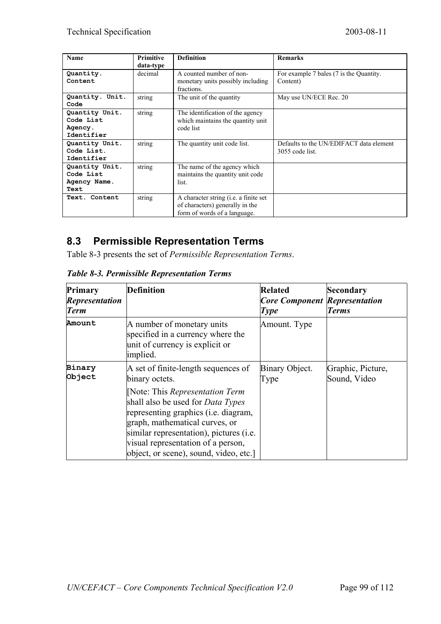| <b>Name</b>             | <b>Primitive</b> | <b>Definition</b>                               | <b>Remarks</b>                          |
|-------------------------|------------------|-------------------------------------------------|-----------------------------------------|
|                         | data-type        |                                                 |                                         |
| Quantity.               | decimal          | A counted number of non-                        | For example 7 bales (7 is the Quantity. |
| Content                 |                  | monetary units possibly including<br>fractions. | Content)                                |
| Quantity. Unit.<br>Code | string           | The unit of the quantity                        | May use UN/ECE Rec. 20                  |
| Quantity Unit.          | string           | The identification of the agency                |                                         |
| Code List               |                  | which maintains the quantity unit               |                                         |
| Agency.                 |                  | code list                                       |                                         |
| Identifier              |                  |                                                 |                                         |
| Quantity Unit.          | string           | The quantity unit code list.                    | Defaults to the UN/EDIFACT data element |
| Code List.              |                  |                                                 | $3055$ code list.                       |
| Identifier              |                  |                                                 |                                         |
| Quantity Unit.          | string           | The name of the agency which                    |                                         |
| Code List               |                  | maintains the quantity unit code                |                                         |
| Agency Name.            |                  | list.                                           |                                         |
| Text                    |                  |                                                 |                                         |
| Text. Content           | string           | A character string (i.e. a finite set           |                                         |
|                         |                  | of characters) generally in the                 |                                         |
|                         |                  | form of words of a language.                    |                                         |

#### **8.3 Permissible Representation Terms**

Table 8-3 presents the set of *Permissible Representation Terms*.

| Primary<br><b>Representation</b><br><b>Term</b> | <b>Definition</b>                                                                                                                                                                                                                                                                      | <b>Related</b><br><b>Core Component Representation</b><br><b>Type</b> | Secondary<br><b>Terms</b>         |
|-------------------------------------------------|----------------------------------------------------------------------------------------------------------------------------------------------------------------------------------------------------------------------------------------------------------------------------------------|-----------------------------------------------------------------------|-----------------------------------|
| Amount                                          | A number of monetary units<br>specified in a currency where the<br>unit of currency is explicit or<br>implied.                                                                                                                                                                         | Amount. Type                                                          |                                   |
| <b>Binary</b><br>Object                         | A set of finite-length sequences of<br>binary octets.                                                                                                                                                                                                                                  | Binary Object.<br>Type                                                | Graphic, Picture,<br>Sound, Video |
|                                                 | Note: This Representation Term<br>shall also be used for <i>Data Types</i><br>representing graphics ( <i>i.e.</i> diagram,<br>graph, mathematical curves, or<br>similar representation), pictures (i.e.<br>visual representation of a person,<br>object, or scene), sound, video, etc. |                                                                       |                                   |

*Table 8-3. Permissible Representation Terms*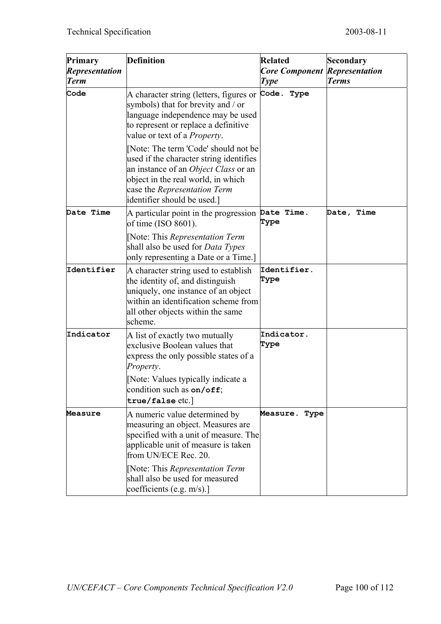| Primary<br><b>Representation</b><br><b>Term</b> | <b>Definition</b>                                                                                                                                                                                                                                                                                                                                                                                                                  | <b>Related</b><br><b>Core Component</b><br><b>Type</b> | Secondary<br><b>Representation</b><br><b>Terms</b> |
|-------------------------------------------------|------------------------------------------------------------------------------------------------------------------------------------------------------------------------------------------------------------------------------------------------------------------------------------------------------------------------------------------------------------------------------------------------------------------------------------|--------------------------------------------------------|----------------------------------------------------|
| Code                                            | A character string (letters, figures or<br>symbols) that for brevity and / or<br>language independence may be used<br>to represent or replace a definitive<br>value or text of a <i>Property</i> .<br>[Note: The term 'Code' should not be<br>used if the character string identifies<br>an instance of an Object Class or an<br>object in the real world, in which<br>case the Representation Term<br>identifier should be used.] | Code. Type                                             |                                                    |
| Date Time                                       | A particular point in the progression<br>of time (ISO 8601).<br>[Note: This Representation Term<br>shall also be used for <i>Data Types</i><br>only representing a Date or a Time.]                                                                                                                                                                                                                                                | Date Time.<br>Type                                     | Date, Time                                         |
| Identifier                                      | A character string used to establish<br>the identity of, and distinguish<br>uniquely, one instance of an object<br>within an identification scheme from<br>all other objects within the same<br>scheme.                                                                                                                                                                                                                            | Identifier.<br>Type                                    |                                                    |
| Indicator                                       | A list of exactly two mutually<br>exclusive Boolean values that<br>express the only possible states of a<br>Property.<br>[Note: Values typically indicate a<br>condition such as $on/off$ ;<br>true/false etc.]                                                                                                                                                                                                                    | Indicator.<br>Type                                     |                                                    |
| Measure                                         | A numeric value determined by<br>measuring an object. Measures are<br>specified with a unit of measure. The<br>applicable unit of measure is taken<br>from UN/ECE Rec. 20.                                                                                                                                                                                                                                                         | <b>Measure.</b><br>Type                                |                                                    |
|                                                 | [Note: This Representation Term<br>shall also be used for measured<br>coefficients (e.g. $m/s$ ).]                                                                                                                                                                                                                                                                                                                                 |                                                        |                                                    |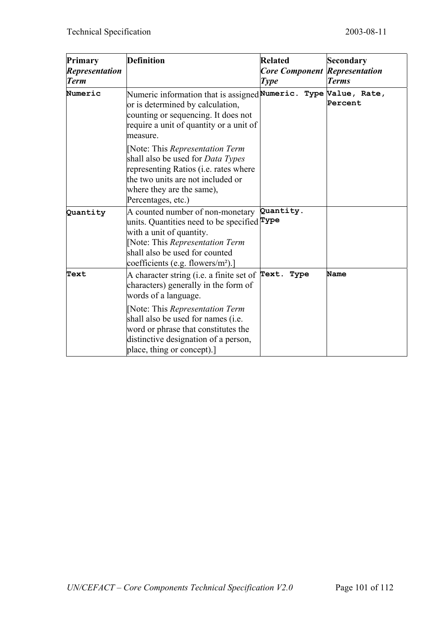| Primary<br><b>Representation</b><br><b>Term</b> | <b>Definition</b>                                                                                                                                                                                                                    | <b>Related</b><br><b>Core Component Representation</b><br><b>Type</b> | Secondary<br><b>Terms</b> |
|-------------------------------------------------|--------------------------------------------------------------------------------------------------------------------------------------------------------------------------------------------------------------------------------------|-----------------------------------------------------------------------|---------------------------|
| Numeric                                         | Numeric information that is assigned Numeric. Type Value, Rate,<br>or is determined by calculation,<br>counting or sequencing. It does not<br>require a unit of quantity or a unit of<br>measure.                                    |                                                                       | Percent                   |
|                                                 | [Note: This Representation Term<br>shall also be used for <i>Data Types</i><br>representing Ratios (i.e. rates where<br>the two units are not included or<br>where they are the same),<br>Percentages, etc.)                         |                                                                       |                           |
| Quantity                                        | A counted number of non-monetary<br>units. Quantities need to be specified $\mathbf{Type}$<br>with a unit of quantity.<br>[Note: This Representation Term<br>shall also be used for counted<br>coefficients (e.g. flowers/ $m^2$ ).] | Quantity.                                                             |                           |
| Text                                            | A character string (i.e. a finite set of $\mathbf{Text. Type}$<br>characters) generally in the form of<br>words of a language.                                                                                                       |                                                                       | <b>Name</b>               |
|                                                 | [Note: This Representation Term<br>shall also be used for names (i.e.<br>word or phrase that constitutes the<br>distinctive designation of a person,<br>place, thing or concept).                                                    |                                                                       |                           |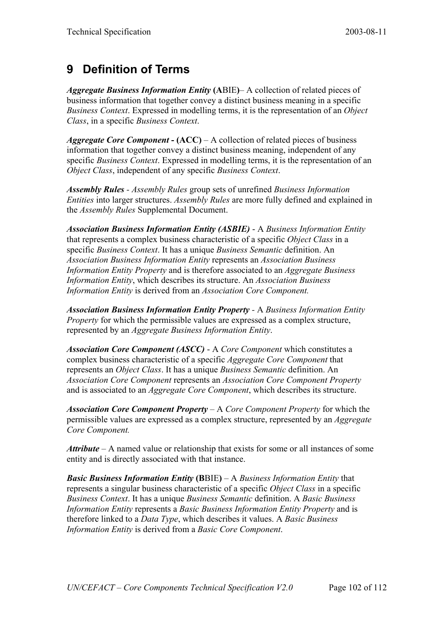# **9 Definition of Terms**

*Aggregate Business Information Entity* **(A**BIE**)**– A collection of related pieces of business information that together convey a distinct business meaning in a specific *Business Context*. Expressed in modelling terms, it is the representation of an *Object Class*, in a specific *Business Context*.

*Aggregate Core Component* **- (ACC)** – A collection of related pieces of business information that together convey a distinct business meaning, independent of any specific *Business Context*. Expressed in modelling terms, it is the representation of an *Object Class*, independent of any specific *Business Context*.

*Assembly Rules - Assembly Rules* group sets of unrefined *Business Information Entities* into larger structures. *Assembly Rules* are more fully defined and explained in the *Assembly Rules* Supplemental Document.

*Association Business Information Entity (ASBIE)* - A *Business Information Entity* that represents a complex business characteristic of a specific *Object Class* in a specific *Business Context*. It has a unique *Business Semantic* definition. An *Association Business Information Entity* represents an *Association Business Information Entity Property* and is therefore associated to an *Aggregate Business Information Entity*, which describes its structure. An *Association Business Information Entity* is derived from an *Association Core Component.*

*Association Business Information Entity Property -* A *Business Information Entity Property* for which the permissible values are expressed as a complex structure, represented by an *Aggregate Business Information Entity*.

*Association Core Component (ASCC)* - A *Core Component* which constitutes a complex business characteristic of a specific *Aggregate Core Component* that represents an *Object Class*. It has a unique *Business Semantic* definition. An *Association Core Component* represents an *Association Core Component Property* and is associated to an *Aggregate Core Component*, which describes its structure.

*Association Core Component Property* – A *Core Component Property* for which the permissible values are expressed as a complex structure, represented by an *Aggregate Core Component.*

*Attribute* – A named value or relationship that exists for some or all instances of some entity and is directly associated with that instance.

*Basic Business Information Entity* **(B**BIE**)** – A *Business Information Entity* that represents a singular business characteristic of a specific *Object Class* in a specific *Business Context*. It has a unique *Business Semantic* definition. A *Basic Business Information Entity* represents a *Basic Business Information Entity Property* and is therefore linked to a *Data Type*, which describes it values. A *Basic Business Information Entity* is derived from a *Basic Core Component*.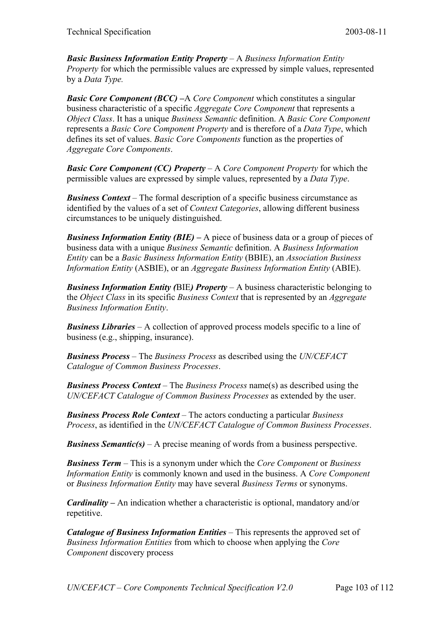*Basic Business Information Entity Property* – A *Business Information Entity Property* for which the permissible values are expressed by simple values, represented by a *Data Type.*

*Basic Core Component (BCC) –A Core Component* which constitutes a singular business characteristic of a specific *Aggregate Core Component* that represents a *Object Class*. It has a unique *Business Semantic* definition. A *Basic Core Component* represents a *Basic Core Component Property* and is therefore of a *Data Type*, which defines its set of values. *Basic Core Components* function as the properties of *Aggregate Core Components*.

*Basic Core Component (CC) Property* – A *Core Component Property* for which the permissible values are expressed by simple values, represented by a *Data Type*.

*Business Context* – The formal description of a specific business circumstance as identified by the values of a set of *Context Categories*, allowing different business circumstances to be uniquely distinguished.

*Business Information Entity (BIE)* **–** A piece of business data or a group of pieces of business data with a unique *Business Semantic* definition. A *Business Information Entity* can be a *Basic Business Information Entity* (BBIE), an *Association Business Information Entity* (ASBIE), or an *Aggregate Business Information Entity* (ABIE).

*Business Information Entity (BIE) Property – A business characteristic belonging to* the *Object Class* in its specific *Business Context* that is represented by an *Aggregate Business Information Entity*.

*Business Libraries* – A collection of approved process models specific to a line of business (e.g., shipping, insurance).

*Business Process* – The *Business Process* as described using the *UN/CEFACT Catalogue of Common Business Processes*.

*Business Process Context* – The *Business Process* name(s) as described using the *UN/CEFACT Catalogue of Common Business Processes* as extended by the user.

*Business Process Role Context* – The actors conducting a particular *Business Process*, as identified in the *UN/CEFACT Catalogue of Common Business Processes*.

*Business Semantic(s)* – A precise meaning of words from a business perspective.

*Business Term* – This is a synonym under which the *Core Component* or *Business Information Entity* is commonly known and used in the business. A *Core Component* or *Business Information Entity* may have several *Business Terms* or synonyms.

*Cardinality –* An indication whether a characteristic is optional, mandatory and/or repetitive.

*Catalogue of Business Information Entities* – This represents the approved set of *Business Information Entities* from which to choose when applying the *Core Component* discovery process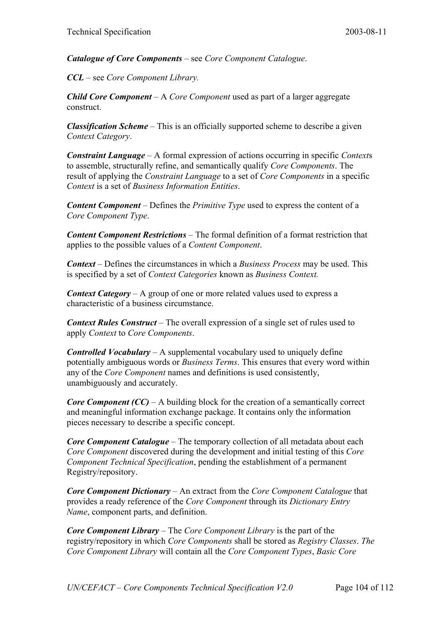*Catalogue of Core Components* – see *Core Component Catalogue*.

*CCL* – see *Core Component Library.*

*Child Core Component* – A *Core Component* used as part of a larger aggregate construct.

*Classification Scheme* – This is an officially supported scheme to describe a given *Context Category*.

*Constraint Language* – A formal expression of actions occurring in specific *Context*s to assemble, structurally refine, and semantically qualify *Core Components*. The result of applying the *Constraint Language* to a set of *Core Components* in a specific *Context* is a set of *Business Information Entities*.

*Content Component* – Defines the *Primitive Type* used to express the content of a *Core Component Type*.

*Content Component Restrictions* – The formal definition of a format restriction that applies to the possible values of a *Content Component*.

*Context* – Defines the circumstances in which a *Business Process* may be used. This is specified by a set of *Context Categories* known as *Business Context.*

*Context Category* – A group of one or more related values used to express a characteristic of a business circumstance.

*Context Rules Construct* – The overall expression of a single set of rules used to apply *Context* to *Core Components*.

*Controlled Vocabulary* – A supplemental vocabulary used to uniquely define potentially ambiguous words or *Business Terms*. This ensures that every word within any of the *Core Component* names and definitions is used consistently, unambiguously and accurately.

*Core Component (CC)* – A building block for the creation of a semantically correct and meaningful information exchange package. It contains only the information pieces necessary to describe a specific concept.

*Core Component Catalogue* – The temporary collection of all metadata about each *Core Component* discovered during the development and initial testing of this *Core Component Technical Specification*, pending the establishment of a permanent Registry/repository.

*Core Component Dictionary* – An extract from the *Core Component Catalogue* that provides a ready reference of the *Core Component* through its *Dictionary Entry Name*, component parts, and definition.

*Core Component Library* – The *Core Component Library* is the part of the registry/repository in which *Core Components* shall be stored as *Registry Classes*. *The Core Component Library* will contain all the *Core Component Types*, *Basic Core*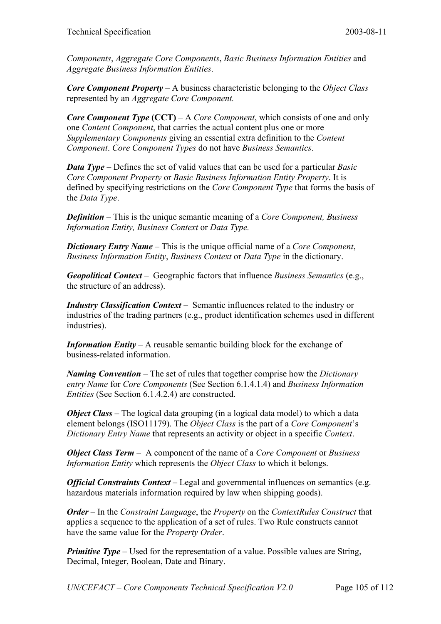*Components*, *Aggregate Core Components*, *Basic Business Information Entities* and *Aggregate Business Information Entities*.

*Core Component Property* – A business characteristic belonging to the *Object Class* represented by an *Aggregate Core Component.*

*Core Component Type* (CCT) – A *Core Component*, which consists of one and only one *Content Component*, that carries the actual content plus one or more *Supplementary Components* giving an essential extra definition to the *Content Component*. *Core Component Types* do not have *Business Semantics*.

*Data Type* **–** Defines the set of valid values that can be used for a particular *Basic Core Component Property* or *Basic Business Information Entity Property*. It is defined by specifying restrictions on the *Core Component Type* that forms the basis of the *Data Type*.

*Definition* – This is the unique semantic meaning of a *Core Component, Business Information Entity, Business Context* or *Data Type.*

*Dictionary Entry Name* – This is the unique official name of a *Core Component*, *Business Information Entity*, *Business Context* or *Data Type* in the dictionary.

*Geopolitical Context* – Geographic factors that influence *Business Semantics* (e.g., the structure of an address).

*Industry Classification Context* – Semantic influences related to the industry or industries of the trading partners (e.g., product identification schemes used in different industries).

*Information Entity* – A reusable semantic building block for the exchange of business-related information.

*Naming Convention* – The set of rules that together comprise how the *Dictionary entry Name* for *Core Components* (See Section 6.1.4.1.4) and *Business Information Entities* (See Section 6.1.4.2.4) are constructed.

*Object Class* – The logical data grouping (in a logical data model) to which a data element belongs (ISO11179). The *Object Class* is the part of a *Core Component*'s *Dictionary Entry Name* that represents an activity or object in a specific *Context*.

*Object Class Term* – A component of the name of a *Core Component* or *Business Information Entity* which represents the *Object Class* to which it belongs.

*Official Constraints Context* – Legal and governmental influences on semantics (e.g. hazardous materials information required by law when shipping goods).

*Order* – In the *Constraint Language*, the *Property* on the *ContextRules Construct* that applies a sequence to the application of a set of rules. Two Rule constructs cannot have the same value for the *Property Order*.

*Primitive Type* – Used for the representation of a value. Possible values are String, Decimal, Integer, Boolean, Date and Binary.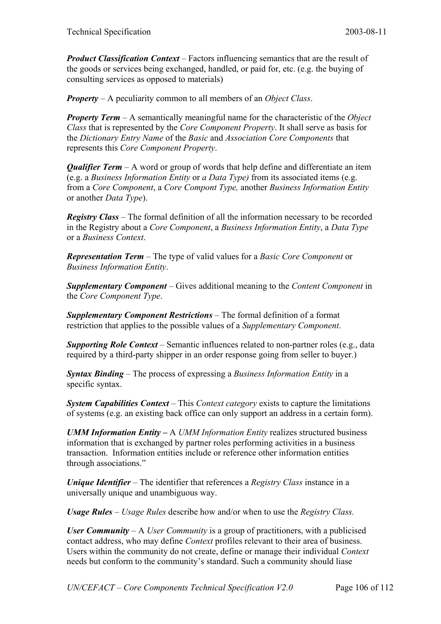*Product Classification Context* – Factors influencing semantics that are the result of the goods or services being exchanged, handled, or paid for, etc. (e.g. the buying of consulting services as opposed to materials)

*Property* – A peculiarity common to all members of an *Object Class*.

*Property Term* – A semantically meaningful name for the characteristic of the *Object Class* that is represented by the *Core Component Property*. It shall serve as basis for the *Dictionary Entry Name* of the *Basic* and *Association Core Components* that represents this *Core Component Property*.

*Qualifier Term* – A word or group of words that help define and differentiate an item (e.g. a *Business Information Entity* or *a Data Type)* from its associated items (e.g. from a *Core Component*, a *Core Compont Type,* another *Business Information Entity* or another *Data Type*).

*Registry Class* – The formal definition of all the information necessary to be recorded in the Registry about a *Core Component*, a *Business Information Entity*, a *Data Type* or a *Business Context*.

*Representation Term* – The type of valid values for a *Basic Core Component* or *Business Information Entity*.

*Supplementary Component* – Gives additional meaning to the *Content Component* in the *Core Component Type*.

*Supplementary Component Restrictions* – The formal definition of a format restriction that applies to the possible values of a *Supplementary Component*.

*Supporting Role Context* – Semantic influences related to non-partner roles (e.g., data required by a third-party shipper in an order response going from seller to buyer.)

*Syntax Binding* – The process of expressing a *Business Information Entity* in a specific syntax.

*System Capabilities Context* – This *Context category* exists to capture the limitations of systems (e.g. an existing back office can only support an address in a certain form).

*UMM Information Entity –* A *UMM Information Entity* realizes structured business information that is exchanged by partner roles performing activities in a business transaction. Information entities include or reference other information entities through associations."

*Unique Identifier* – The identifier that references a *Registry Class* instance in a universally unique and unambiguous way.

*Usage Rules* – *Usage Rules* describe how and/or when to use the *Registry Class.*

*User Community* – A *User Community* is a group of practitioners, with a publicised contact address, who may define *Context* profiles relevant to their area of business. Users within the community do not create, define or manage their individual *Context* needs but conform to the community's standard. Such a community should liase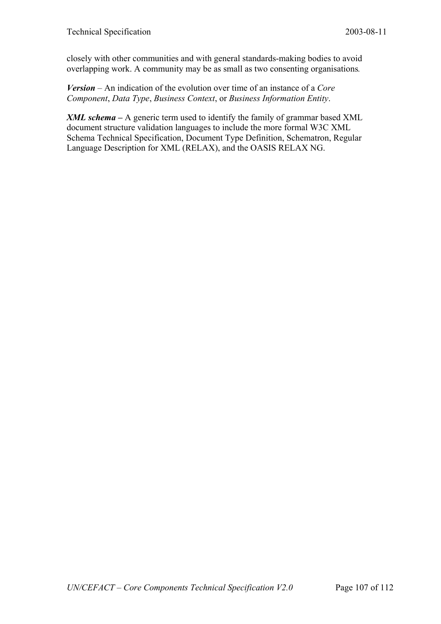closely with other communities and with general standards-making bodies to avoid overlapping work. A community may be as small as two consenting organisations*.*

*Version* – An indication of the evolution over time of an instance of a *Core Component*, *Data Type*, *Business Context*, or *Business Information Entity*.

*XML schema –* A generic term used to identify the family of grammar based XML document structure validation languages to include the more formal W3C XML Schema Technical Specification, Document Type Definition, Schematron, Regular Language Description for XML (RELAX), and the OASIS RELAX NG.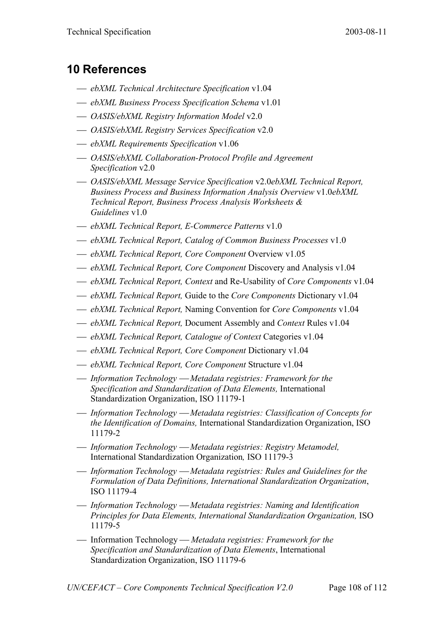## **10 References**

- *ebXML Technical Architecture Specification* v1.04
- *ebXML Business Process Specification Schema* v1.01
- *OASIS/ebXML Registry Information Model* v2.0
- *OASIS/ebXML Registry Services Specification* v2.0
- *ebXML Requirements Specification* v1.06
- *OASIS/ebXML Collaboration-Protocol Profile and Agreement Specification* v2.0
- *OASIS/ebXML Message Service Specification* v2.0*ebXML Technical Report, Business Process and Business Information Analysis Overview* v1.0*ebXML Technical Report, Business Process Analysis Worksheets & Guidelines* v1.0
- *ebXML Technical Report, E-Commerce Patterns* v1.0
- *ebXML Technical Report, Catalog of Common Business Processes* v1.0
- *ebXML Technical Report, Core Component* Overview v1.05
- *ebXML Technical Report, Core Component* Discovery and Analysis v1.04
- *ebXML Technical Report, Context* and Re-Usability of *Core Components* v1.04
- *ebXML Technical Report,* Guide to the *Core Components* Dictionary v1.04
- *ebXML Technical Report,* Naming Convention for *Core Components* v1.04
- *ebXML Technical Report,* Document Assembly and *Context* Rules v1.04
- *ebXML Technical Report, Catalogue of Context* Categories v1.04
- *ebXML Technical Report, Core Component* Dictionary v1.04
- *ebXML Technical Report, Core Component* Structure v1.04
- *Information Technology Metadata registries: Framework for the Specification and Standardization of Data Elements,* International Standardization Organization, ISO 11179-1
- *Information Technology Metadata registries: Classification of Concepts for the Identification of Domains,* International Standardization Organization, ISO 11179-2
- *Information Technology Metadata registries: Registry Metamodel,* International Standardization Organization*,* ISO 11179-3
- *Information Technology Metadata registries: Rules and Guidelines for the Formulation of Data Definitions, International Standardization Organization*, ISO 11179-4
- *Information Technology Metadata registries: Naming and Identification Principles for Data Elements, International Standardization Organization,* ISO 11179-5
- Information Technology *Metadata registries: Framework for the Specification and Standardization of Data Elements*, International Standardization Organization, ISO 11179-6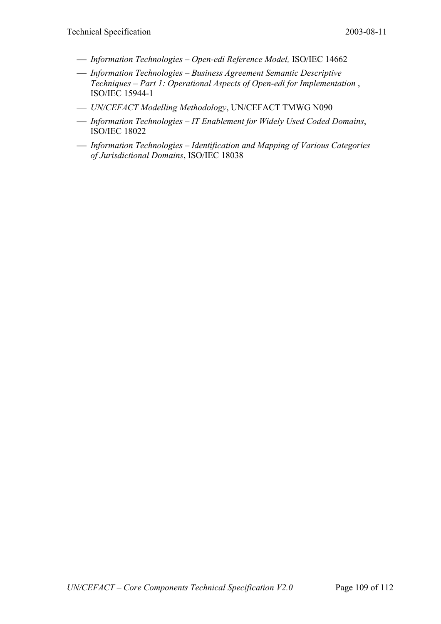- *Information Technologies Open-edi Reference Model,* ISO/IEC 14662
- *Information Technologies Business Agreement Semantic Descriptive Techniques – Part 1: Operational Aspects of Open-edi for Implementation* , ISO/IEC 15944-1
- *UN/CEFACT Modelling Methodology*, UN/CEFACT TMWG N090
- *Information Technologies IT Enablement for Widely Used Coded Domains*, ISO/IEC 18022
- *Information Technologies Identification and Mapping of Various Categories of Jurisdictional Domains*, ISO/IEC 18038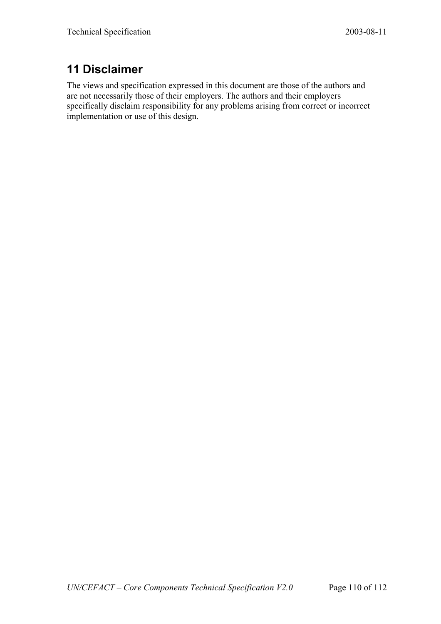# **11 Disclaimer**

The views and specification expressed in this document are those of the authors and are not necessarily those of their employers. The authors and their employers specifically disclaim responsibility for any problems arising from correct or incorrect implementation or use of this design.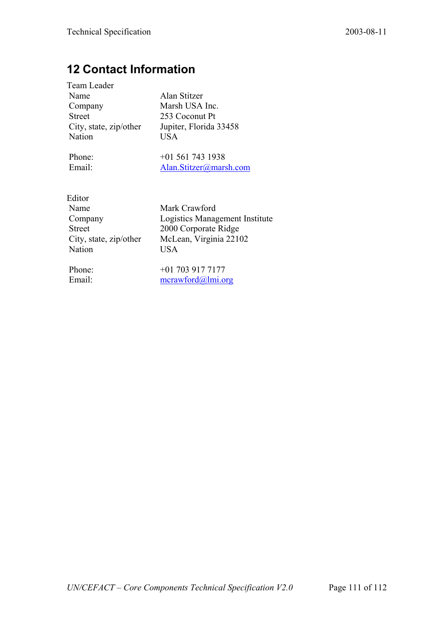## **12 Contact Information**

| Team Leader            |
|------------------------|
| Name                   |
| Company                |
| <b>Street</b>          |
| City, state, zip/other |
| Nation                 |

Alan Stitzer Marsh USA Inc. 253 Coconut Pt Jupiter, Florida 33458  $\overline{USA}$ 

Phone: +01 561 743 1938<br>
Finall Alan Stitzer@mars Alan.Stitzer@marsh.com

| Editor                 |  |
|------------------------|--|
| Name                   |  |
| Company                |  |
| Street                 |  |
| City, state, zip/other |  |
| Nation                 |  |

Mark Crawford Logistics Management Institute 2000 Corporate Ridge McLean, Virginia  $22102$ USA

Phone: +01 703 917 7177 Email: mcrawford@lmi.org